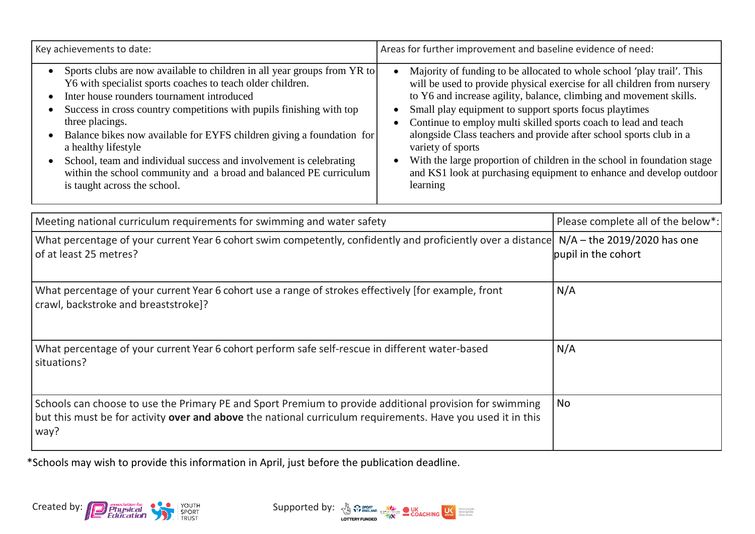| Key achievements to date:                                                                                                                                                                                                                                                                                                                                                                                                                                                                                                                                                | Areas for further improvement and baseline evidence of need:                                                                                                                                                                                                                                                                                                                                                                                                                                                                                                                                                                            |                                                      |
|--------------------------------------------------------------------------------------------------------------------------------------------------------------------------------------------------------------------------------------------------------------------------------------------------------------------------------------------------------------------------------------------------------------------------------------------------------------------------------------------------------------------------------------------------------------------------|-----------------------------------------------------------------------------------------------------------------------------------------------------------------------------------------------------------------------------------------------------------------------------------------------------------------------------------------------------------------------------------------------------------------------------------------------------------------------------------------------------------------------------------------------------------------------------------------------------------------------------------------|------------------------------------------------------|
| Sports clubs are now available to children in all year groups from YR to<br>Y6 with specialist sports coaches to teach older children.<br>Inter house rounders tournament introduced<br>Success in cross country competitions with pupils finishing with top<br>$\bullet$<br>three placings.<br>Balance bikes now available for EYFS children giving a foundation for<br>a healthy lifestyle<br>School, team and individual success and involvement is celebrating<br>within the school community and a broad and balanced PE curriculum<br>is taught across the school. | Majority of funding to be allocated to whole school 'play trail'. This<br>$\bullet$<br>will be used to provide physical exercise for all children from nursery<br>to Y6 and increase agility, balance, climbing and movement skills.<br>Small play equipment to support sports focus playtimes<br>$\bullet$<br>Continue to employ multi skilled sports coach to lead and teach<br>alongside Class teachers and provide after school sports club in a<br>variety of sports<br>With the large proportion of children in the school in foundation stage<br>and KS1 look at purchasing equipment to enhance and develop outdoor<br>learning |                                                      |
| Meeting national curriculum requirements for swimming and water safety                                                                                                                                                                                                                                                                                                                                                                                                                                                                                                   |                                                                                                                                                                                                                                                                                                                                                                                                                                                                                                                                                                                                                                         | Please complete all of the below*:                   |
| What percentage of your current Year 6 cohort swim competently, confidently and proficiently over a distance<br>of at least 25 metres?                                                                                                                                                                                                                                                                                                                                                                                                                                   |                                                                                                                                                                                                                                                                                                                                                                                                                                                                                                                                                                                                                                         | $N/A -$ the 2019/2020 has one<br>pupil in the cohort |
| What percentage of your current Year 6 cohort use a range of strokes effectively [for example, front<br>crawl, backstroke and breaststroke]?                                                                                                                                                                                                                                                                                                                                                                                                                             |                                                                                                                                                                                                                                                                                                                                                                                                                                                                                                                                                                                                                                         | N/A                                                  |
| What percentage of your current Year 6 cohort perform safe self-rescue in different water-based<br>situations?                                                                                                                                                                                                                                                                                                                                                                                                                                                           |                                                                                                                                                                                                                                                                                                                                                                                                                                                                                                                                                                                                                                         | N/A                                                  |
| Schools can choose to use the Primary PE and Sport Premium to provide additional provision for swimming<br>but this must be for activity over and above the national curriculum requirements. Have you used it in this<br>way?                                                                                                                                                                                                                                                                                                                                           |                                                                                                                                                                                                                                                                                                                                                                                                                                                                                                                                                                                                                                         | <b>No</b>                                            |

\*Schools may wish to provide this information in April, just before the publication deadline.



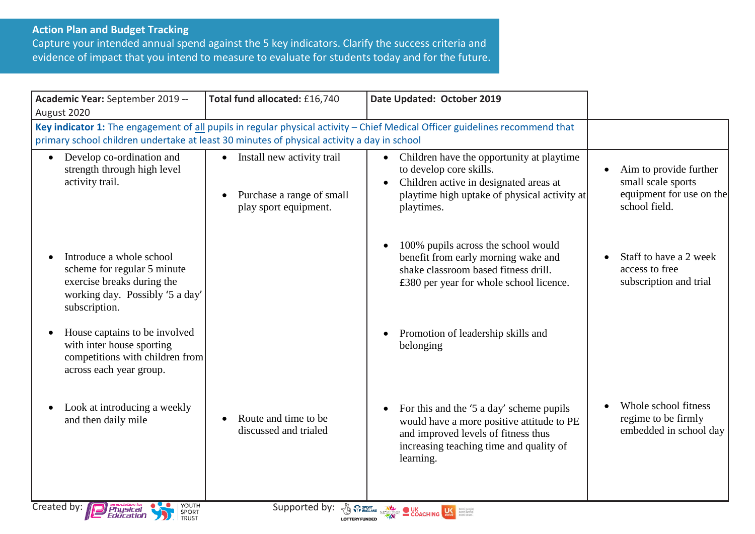## **Action Plan and Budget Tracking**

Capture your intended annual spend against the 5 key indicators. Clarify the success criteria and evidence of impact that you intend to measure to evaluate for students today and for the future.

| Academic Year: September 2019 --<br>August 2020                                                                                                                                                                            | Total fund allocated: £16,740                                                      | Date Updated: October 2019                                                                                                                                                                                                           |                                                                                           |
|----------------------------------------------------------------------------------------------------------------------------------------------------------------------------------------------------------------------------|------------------------------------------------------------------------------------|--------------------------------------------------------------------------------------------------------------------------------------------------------------------------------------------------------------------------------------|-------------------------------------------------------------------------------------------|
| Key indicator 1: The engagement of all pupils in regular physical activity - Chief Medical Officer guidelines recommend that<br>primary school children undertake at least 30 minutes of physical activity a day in school |                                                                                    |                                                                                                                                                                                                                                      |                                                                                           |
| Develop co-ordination and<br>$\bullet$<br>strength through high level<br>activity trail.                                                                                                                                   | • Install new activity trail<br>Purchase a range of small<br>play sport equipment. | • Children have the opportunity at playtime<br>to develop core skills.<br>Children active in designated areas at<br>playtime high uptake of physical activity at<br>playtimes.                                                       | Aim to provide further<br>small scale sports<br>equipment for use on the<br>school field. |
| Introduce a whole school<br>scheme for regular 5 minute<br>exercise breaks during the<br>working day. Possibly '5 a day'<br>subscription.                                                                                  |                                                                                    | 100% pupils across the school would<br>benefit from early morning wake and<br>shake classroom based fitness drill.<br>£380 per year for whole school licence.                                                                        | Staff to have a 2 week<br>access to free<br>subscription and trial                        |
| House captains to be involved<br>with inter house sporting<br>competitions with children from<br>across each year group.                                                                                                   |                                                                                    | Promotion of leadership skills and<br>belonging                                                                                                                                                                                      |                                                                                           |
| Look at introducing a weekly<br>and then daily mile                                                                                                                                                                        | Route and time to be<br>discussed and trialed                                      | For this and the '5 a day' scheme pupils<br>would have a more positive attitude to PE<br>and improved levels of fitness thus<br>increasing teaching time and quality of<br>learning.                                                 | Whole school fitness<br>regime to be firmly<br>embedded in school day                     |
| Created by:<br>YOUTH<br><i>Physical</i><br>Education<br>SPORT<br>TRUST                                                                                                                                                     | Supported by:                                                                      | <b>A SPORT CONCHING WE SERVER CONCHING WE DESCRIPTION OF A SERVER CONCHING WE DESCRIPTION OF A SERVER CONCHING CONCHING CONCHING CONCHING CONCHING CONCHING CONCHING CONCHING CONCHING CONCHING CONCHING CONCHING CONCHING CONCH</b> |                                                                                           |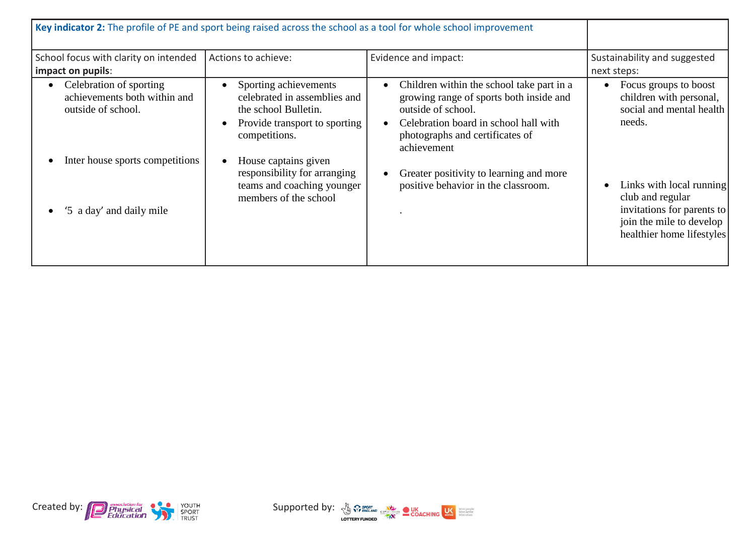| Key indicator 2: The profile of PE and sport being raised across the school as a tool for whole school improvement |                                                                                                                                 |                                                                                                                                                                                                       |                                                                                                                                     |
|--------------------------------------------------------------------------------------------------------------------|---------------------------------------------------------------------------------------------------------------------------------|-------------------------------------------------------------------------------------------------------------------------------------------------------------------------------------------------------|-------------------------------------------------------------------------------------------------------------------------------------|
| School focus with clarity on intended<br>impact on pupils:                                                         | Actions to achieve:                                                                                                             | Evidence and impact:                                                                                                                                                                                  | Sustainability and suggested<br>next steps:                                                                                         |
| Celebration of sporting<br>achievements both within and<br>outside of school.<br>Inter house sports competitions   | Sporting achievements<br>celebrated in assemblies and<br>the school Bulletin.<br>Provide transport to sporting<br>competitions. | Children within the school take part in a<br>growing range of sports both inside and<br>outside of school.<br>Celebration board in school hall with<br>photographs and certificates of<br>achievement | Focus groups to boost<br>$\bullet$<br>children with personal,<br>social and mental health<br>needs.                                 |
| '5 a day' and daily mile                                                                                           | House captains given<br>responsibility for arranging<br>teams and coaching younger<br>members of the school                     | Greater positivity to learning and more<br>positive behavior in the classroom.                                                                                                                        | Links with local running<br>club and regular<br>invitations for parents to<br>join the mile to develop<br>healthier home lifestyles |

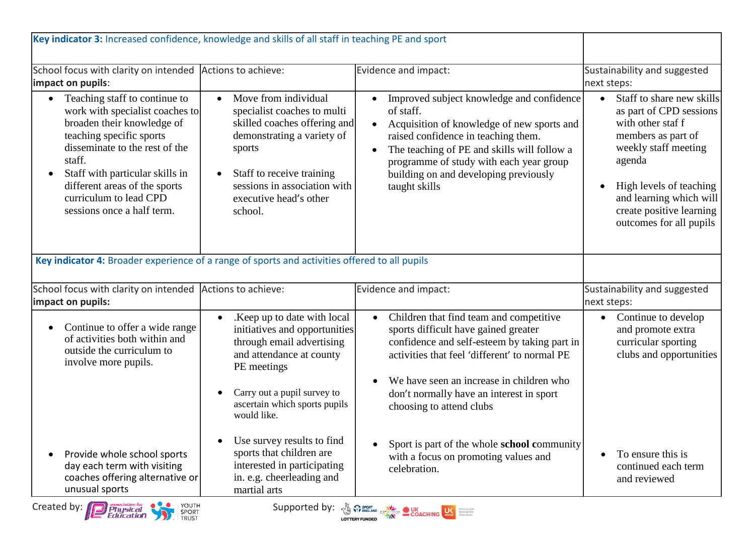| Key indicator 3: Increased confidence, knowledge and skills of all staff in teaching PE and sport                                                                                                                                                                                                                                                                                                                                                                                                                                        |                                                                                                                                                                                                                                                         |                                                                                                                                                                                                                                                                                                                   |                                                                                                                                                                                                                                                             |
|------------------------------------------------------------------------------------------------------------------------------------------------------------------------------------------------------------------------------------------------------------------------------------------------------------------------------------------------------------------------------------------------------------------------------------------------------------------------------------------------------------------------------------------|---------------------------------------------------------------------------------------------------------------------------------------------------------------------------------------------------------------------------------------------------------|-------------------------------------------------------------------------------------------------------------------------------------------------------------------------------------------------------------------------------------------------------------------------------------------------------------------|-------------------------------------------------------------------------------------------------------------------------------------------------------------------------------------------------------------------------------------------------------------|
| School focus with clarity on intended Actions to achieve:<br>impact on pupils:                                                                                                                                                                                                                                                                                                                                                                                                                                                           |                                                                                                                                                                                                                                                         | Evidence and impact:                                                                                                                                                                                                                                                                                              | Sustainability and suggested<br>next steps:                                                                                                                                                                                                                 |
| Teaching staff to continue to<br>work with specialist coaches to<br>broaden their knowledge of<br>teaching specific sports<br>disseminate to the rest of the<br>staff.<br>Staff with particular skills in<br>$\bullet$<br>different areas of the sports<br>curriculum to lead CPD<br>sessions once a half term.                                                                                                                                                                                                                          | Move from individual<br>$\bullet$<br>specialist coaches to multi<br>skilled coaches offering and<br>demonstrating a variety of<br>sports<br>Staff to receive training<br>$\bullet$<br>sessions in association with<br>executive head's other<br>school. | Improved subject knowledge and confidence<br>of staff.<br>Acquisition of knowledge of new sports and<br>$\bullet$<br>raised confidence in teaching them.<br>The teaching of PE and skills will follow a<br>programme of study with each year group<br>building on and developing previously<br>taught skills      | Staff to share new skills<br>$\bullet$<br>as part of CPD sessions<br>with other staf f<br>members as part of<br>weekly staff meeting<br>agenda<br>High levels of teaching<br>and learning which will<br>create positive learning<br>outcomes for all pupils |
| Key indicator 4: Broader experience of a range of sports and activities offered to all pupils                                                                                                                                                                                                                                                                                                                                                                                                                                            |                                                                                                                                                                                                                                                         |                                                                                                                                                                                                                                                                                                                   |                                                                                                                                                                                                                                                             |
| School focus with clarity on intended Actions to achieve:<br>impact on pupils:                                                                                                                                                                                                                                                                                                                                                                                                                                                           |                                                                                                                                                                                                                                                         | Evidence and impact:                                                                                                                                                                                                                                                                                              | Sustainability and suggested<br>next steps:                                                                                                                                                                                                                 |
| Continue to offer a wide range<br>$\bullet$<br>of activities both within and<br>outside the curriculum to<br>involve more pupils.                                                                                                                                                                                                                                                                                                                                                                                                        | .Keep up to date with local<br>$\bullet$<br>initiatives and opportunities<br>through email advertising<br>and attendance at county<br>PE meetings<br>Carry out a pupil survey to<br>$\bullet$<br>ascertain which sports pupils<br>would like.           | Children that find team and competitive<br>$\bullet$<br>sports difficult have gained greater<br>confidence and self-esteem by taking part in<br>activities that feel 'different' to normal PE<br>We have seen an increase in children who<br>don't normally have an interest in sport<br>choosing to attend clubs | Continue to develop<br>$\bullet$<br>and promote extra<br>curricular sporting<br>clubs and opportunities                                                                                                                                                     |
| Provide whole school sports<br>day each term with visiting<br>coaches offering alternative or<br>unusual sports                                                                                                                                                                                                                                                                                                                                                                                                                          | Use survey results to find<br>$\bullet$<br>sports that children are<br>interested in participating<br>in. e.g. cheerleading and<br>martial arts                                                                                                         | Sport is part of the whole school community<br>$\bullet$<br>with a focus on promoting values and<br>celebration.                                                                                                                                                                                                  | To ensure this is<br>continued each term<br>and reviewed                                                                                                                                                                                                    |
| YOUTH<br>Created by: <b>Physical</b><br>Supported by: $\frac{N}{N}$ $\frac{S_{\text{B}}}{S_{\text{B}}}\frac{S_{\text{B}}}{S_{\text{B}}}\frac{S_{\text{B}}}{S_{\text{B}}}\frac{S_{\text{B}}}{S_{\text{B}}}\frac{S_{\text{B}}}{S_{\text{B}}}\frac{S_{\text{B}}}{S_{\text{B}}}\frac{S_{\text{B}}}{S_{\text{B}}}\frac{S_{\text{B}}}{S_{\text{B}}}\frac{S_{\text{B}}}{S_{\text{B}}}\frac{S_{\text{B}}}{S_{\text{B}}}\frac{S_{\text{B}}}{S_{\text{B$<br>More people<br>More active<br>More often<br>SPORT<br>TRUST<br><i><b>Peducation</b></i> |                                                                                                                                                                                                                                                         |                                                                                                                                                                                                                                                                                                                   |                                                                                                                                                                                                                                                             |